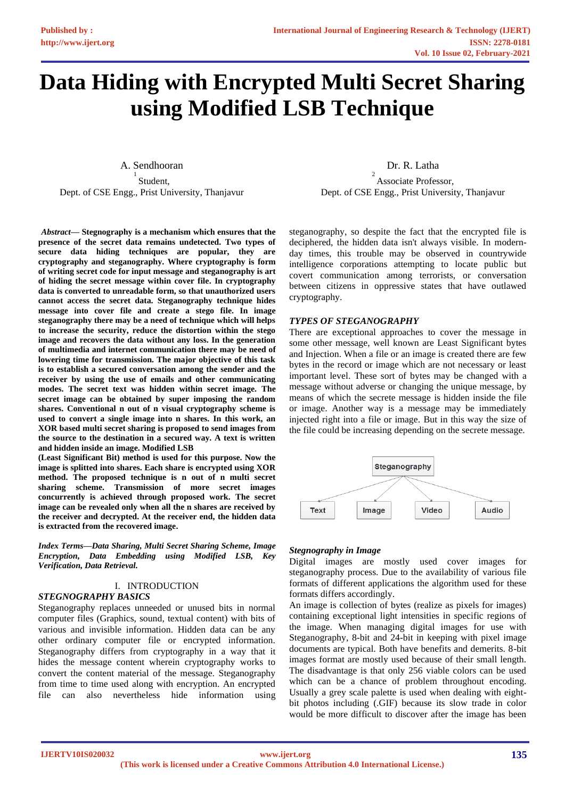# **Data Hiding with Encrypted Multi Secret Sharing using Modified LSB Technique**

A. Sendhooran 1 Student, Dept. of CSE Engg., Prist University, Thanjavur

*<sup>1</sup>Abstract***— Stegnography is a mechanism which ensures that the presence of the secret data remains undetected. Two types of secure data hiding techniques are popular, they are cryptography and steganography. Where cryptography is form of writing secret code for input message and steganography is art of hiding the secret message within cover file. In cryptography data is converted to unreadable form, so that unauthorized users cannot access the secret data. Steganography technique hides message into cover file and create a stego file. In image steganography there may be a need of technique which will helps to increase the security, reduce the distortion within the stego image and recovers the data without any loss. In the generation of multimedia and internet communication there may be need of lowering time for transmission. The major objective of this task is to establish a secured conversation among the sender and the receiver by using the use of emails and other communicating modes. The secret text was hidden within secret image. The secret image can be obtained by super imposing the random shares. Conventional n out of n visual cryptography scheme is used to convert a single image into n shares. In this work, an XOR based multi secret sharing is proposed to send images from the source to the destination in a secured way. A text is written and hidden inside an image. Modified LSB**

**(Least Significant Bit) method is used for this purpose. Now the image is splitted into shares. Each share is encrypted using XOR method. The proposed technique is n out of n multi secret sharing scheme. Transmission of more secret images concurrently is achieved through proposed work. The secret image can be revealed only when all the n shares are received by the receiver and decrypted. At the receiver end, the hidden data is extracted from the recovered image.**

*Index Terms—Data Sharing, Multi Secret Sharing Scheme, Image Encryption, Data Embedding using Modified LSB, Key Verification, Data Retrieval.*

I. INTRODUCTION

#### *STEGNOGRAPHY BASICS*

Steganography replaces unneeded or unused bits in normal computer files (Graphics, sound, textual content) with bits of various and invisible information. Hidden data can be any other ordinary computer file or encrypted information. Steganography differs from cryptography in a way that it hides the message content wherein cryptography works to convert the content material of the message. Steganography from time to time used along with encryption. An encrypted file can also nevertheless hide information using Dr. R. Latha

2 Associate Professor, Dept. of CSE Engg., Prist University, Thanjavur

steganography, so despite the fact that the encrypted file is deciphered, the hidden data isn't always visible. In modernday times, this trouble may be observed in countrywide intelligence corporations attempting to locate public but covert communication among terrorists, or conversation between citizens in oppressive states that have outlawed cryptography.

#### *TYPES OF STEGANOGRAPHY*

There are exceptional approaches to cover the message in some other message, well known are Least Significant bytes and Injection. When a file or an image is created there are few bytes in the record or image which are not necessary or least important level. These sort of bytes may be changed with a message without adverse or changing the unique message, by means of which the secrete message is hidden inside the file or image. Another way is a message may be immediately injected right into a file or image. But in this way the size of the file could be increasing depending on the secrete message.



#### *Stegnography in Image*

Digital images are mostly used cover images for steganography process. Due to the availability of various file formats of different applications the algorithm used for these formats differs accordingly.

An image is collection of bytes (realize as pixels for images) containing exceptional light intensities in specific regions of the image. When managing digital images for use with Steganography, 8-bit and 24-bit in keeping with pixel image documents are typical. Both have benefits and demerits. 8-bit images format are mostly used because of their small length. The disadvantage is that only 256 viable colors can be used which can be a chance of problem throughout encoding. Usually a grey scale palette is used when dealing with eightbit photos including (.GIF) because its slow trade in color would be more difficult to discover after the image has been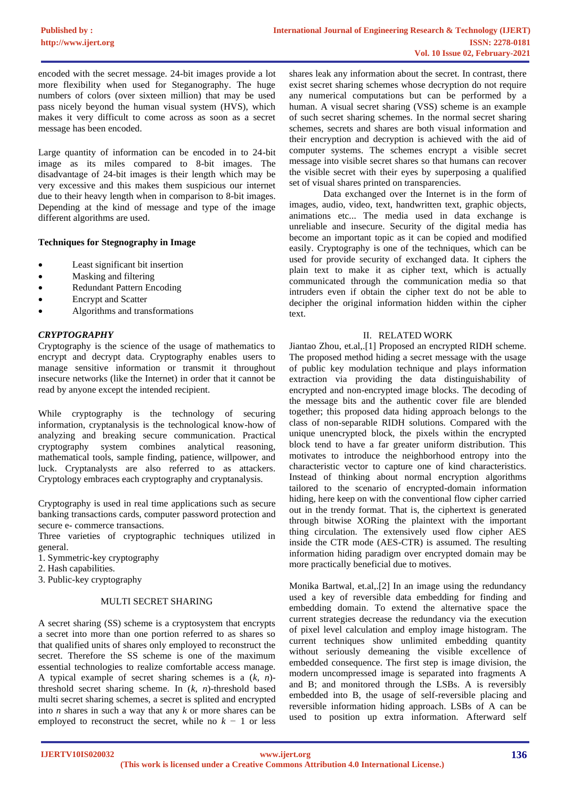encoded with the secret message. 24-bit images provide a lot more flexibility when used for Steganography. The huge numbers of colors (over sixteen million) that may be used pass nicely beyond the human visual system (HVS), which makes it very difficult to come across as soon as a secret message has been encoded.

Large quantity of information can be encoded in to 24-bit image as its miles compared to 8-bit images. The disadvantage of 24-bit images is their length which may be very excessive and this makes them suspicious our internet due to their heavy length when in comparison to 8-bit images. Depending at the kind of message and type of the image different algorithms are used.

#### **Techniques for Stegnography in Image**

- Least significant bit insertion
- Masking and filtering
- Redundant Pattern Encoding
- Encrypt and Scatter
- Algorithms and transformations

## *CRYPTOGRAPHY*

Cryptography is the science of the usage of mathematics to encrypt and decrypt data. Cryptography enables users to manage sensitive information or transmit it throughout insecure networks (like the Internet) in order that it cannot be read by anyone except the intended recipient.

While cryptography is the technology of securing information, cryptanalysis is the technological know-how of analyzing and breaking secure communication. Practical cryptography system combines analytical reasoning, mathematical tools, sample finding, patience, willpower, and luck. Cryptanalysts are also referred to as attackers. Cryptology embraces each cryptography and cryptanalysis.

Cryptography is used in real time applications such as secure banking transactions cards, computer password protection and secure e- commerce transactions.

Three varieties of cryptographic techniques utilized in general.

- 1. Symmetric-key cryptography
- 2. Hash capabilities.
- 3. Public-key cryptography

#### MULTI SECRET SHARING

A secret sharing (SS) scheme is a cryptosystem that encrypts a secret into more than one portion referred to as shares so that qualified units of shares only employed to reconstruct the secret. Therefore the SS scheme is one of the maximum essential technologies to realize comfortable access manage. A typical example of secret sharing schemes is a (*k, n*) threshold secret sharing scheme. In (*k, n*)-threshold based multi secret sharing schemes, a secret is splited and encrypted into *n* shares in such a way that any *k* or more shares can be employed to reconstruct the secret, while no *k −* 1 or less

shares leak any information about the secret. In contrast, there exist secret sharing schemes whose decryption do not require any numerical computations but can be performed by a human. A visual secret sharing (VSS) scheme is an example of such secret sharing schemes. In the normal secret sharing schemes, secrets and shares are both visual information and their encryption and decryption is achieved with the aid of computer systems. The schemes encrypt a visible secret message into visible secret shares so that humans can recover the visible secret with their eyes by superposing a qualified set of visual shares printed on transparencies.

Data exchanged over the Internet is in the form of images, audio, video, text, handwritten text, graphic objects, animations etc... The media used in data exchange is unreliable and insecure. Security of the digital media has become an important topic as it can be copied and modified easily. Cryptography is one of the techniques, which can be used for provide security of exchanged data. It ciphers the plain text to make it as cipher text, which is actually communicated through the communication media so that intruders even if obtain the cipher text do not be able to decipher the original information hidden within the cipher text.

#### II. RELATED WORK

Jiantao Zhou, et.al,.[1] Proposed an encrypted RIDH scheme. The proposed method hiding a secret message with the usage of public key modulation technique and plays information extraction via providing the data distinguishability of encrypted and non-encrypted image blocks. The decoding of the message bits and the authentic cover file are blended together; this proposed data hiding approach belongs to the class of non-separable RIDH solutions. Compared with the unique unencrypted block, the pixels within the encrypted block tend to have a far greater uniform distribution. This motivates to introduce the neighborhood entropy into the characteristic vector to capture one of kind characteristics. Instead of thinking about normal encryption algorithms tailored to the scenario of encrypted-domain information hiding, here keep on with the conventional flow cipher carried out in the trendy format. That is, the ciphertext is generated through bitwise XORing the plaintext with the important thing circulation. The extensively used flow cipher AES inside the CTR mode (AES-CTR) is assumed. The resulting information hiding paradigm over encrypted domain may be more practically beneficial due to motives.

Monika Bartwal, et.al,.[2] In an image using the redundancy used a key of reversible data embedding for finding and embedding domain. To extend the alternative space the current strategies decrease the redundancy via the execution of pixel level calculation and employ image histogram. The current techniques show unlimited embedding quantity without seriously demeaning the visible excellence of embedded consequence. The first step is image division, the modern uncompressed image is separated into fragments A and B; and monitored through the LSBs. A is reversibly embedded into B, the usage of self-reversible placing and reversible information hiding approach. LSBs of A can be used to position up extra information. Afterward self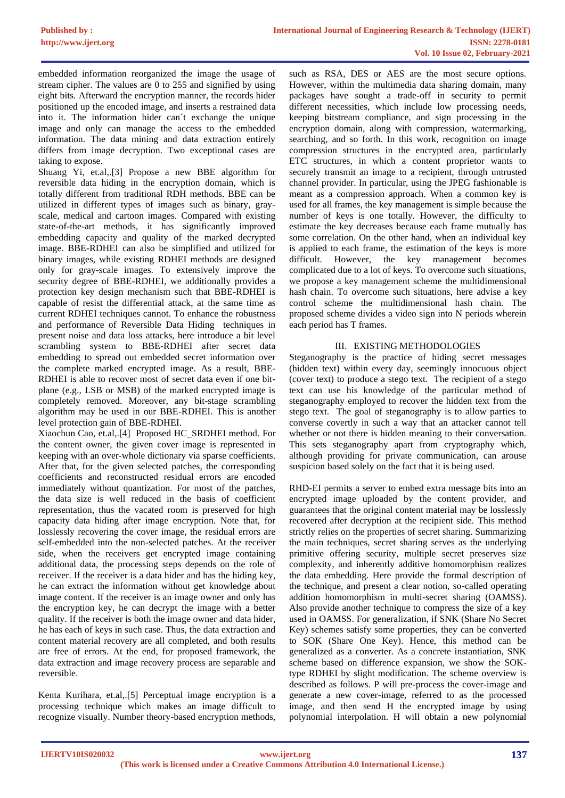embedded information reorganized the image the usage of stream cipher. The values are 0 to 255 and signified by using eight bits. Afterward the encryption manner, the records hider positioned up the encoded image, and inserts a restrained data into it. The information hider can´t exchange the unique image and only can manage the access to the embedded information. The data mining and data extraction entirely differs from image decryption. Two exceptional cases are taking to expose.

Shuang Yi, et.al,.[3] Propose a new BBE algorithm for reversible data hiding in the encryption domain, which is totally different from traditional RDH methods. BBE can be utilized in different types of images such as binary, grayscale, medical and cartoon images. Compared with existing state-of-the-art methods, it has significantly improved embedding capacity and quality of the marked decrypted image. BBE-RDHEI can also be simplified and utilized for binary images, while existing RDHEI methods are designed only for gray-scale images. To extensively improve the security degree of BBE-RDHEI, we additionally provides a protection key design mechanism such that BBE-RDHEI is capable of resist the differential attack, at the same time as current RDHEI techniques cannot. To enhance the robustness and performance of Reversible Data Hiding techniques in present noise and data loss attacks, here introduce a bit level scrambling system to BBE-RDHEI after secret data embedding to spread out embedded secret information over the complete marked encrypted image. As a result, BBE-RDHEI is able to recover most of secret data even if one bitplane (e.g., LSB or MSB) of the marked encrypted image is completely removed. Moreover, any bit-stage scrambling algorithm may be used in our BBE-RDHEI. This is another level protection gain of BBE-RDHEI.

Xiaochun Cao, et.al,.[4] Proposed HC\_SRDHEI method. For the content owner, the given cover image is represented in keeping with an over-whole dictionary via sparse coefficients. After that, for the given selected patches, the corresponding coefficients and reconstructed residual errors are encoded immediately without quantization. For most of the patches, the data size is well reduced in the basis of coefficient representation, thus the vacated room is preserved for high capacity data hiding after image encryption. Note that, for losslessly recovering the cover image, the residual errors are self-embedded into the non-selected patches. At the receiver side, when the receivers get encrypted image containing additional data, the processing steps depends on the role of receiver. If the receiver is a data hider and has the hiding key, he can extract the information without get knowledge about image content. If the receiver is an image owner and only has the encryption key, he can decrypt the image with a better quality. If the receiver is both the image owner and data hider, he has each of keys in such case. Thus, the data extraction and content material recovery are all completed, and both results are free of errors. At the end, for proposed framework, the data extraction and image recovery process are separable and reversible.

Kenta Kurihara, et.al,.[5] Perceptual image encryption is a processing technique which makes an image difficult to recognize visually. Number theory-based encryption methods,

such as RSA, DES or AES are the most secure options. However, within the multimedia data sharing domain, many packages have sought a trade-off in security to permit different necessities, which include low processing needs, keeping bitstream compliance, and sign processing in the encryption domain, along with compression, watermarking, searching, and so forth. In this work, recognition on image compression structures in the encrypted area, particularly ETC structures, in which a content proprietor wants to securely transmit an image to a recipient, through untrusted channel provider. In particular, using the JPEG fashionable is meant as a compression approach. When a common key is used for all frames, the key management is simple because the number of keys is one totally. However, the difficulty to estimate the key decreases because each frame mutually has some correlation. On the other hand, when an individual key is applied to each frame, the estimation of the keys is more difficult. However, the key management becomes complicated due to a lot of keys. To overcome such situations, we propose a key management scheme the multidimensional hash chain. To overcome such situations, here advise a key control scheme the multidimensional hash chain. The proposed scheme divides a video sign into N periods wherein each period has T frames.

## III. EXISTING METHODOLOGIES

Steganography is the practice of hiding secret messages (hidden text) within every day, seemingly innocuous object (cover text) to produce a stego text. The recipient of a stego text can use his knowledge of the particular method of steganography employed to recover the hidden text from the stego text. The goal of steganography is to allow parties to converse covertly in such a way that an attacker cannot tell whether or not there is hidden meaning to their conversation. This sets steganography apart from cryptography which, although providing for private communication, can arouse suspicion based solely on the fact that it is being used.

RHD-EI permits a server to embed extra message bits into an encrypted image uploaded by the content provider, and guarantees that the original content material may be losslessly recovered after decryption at the recipient side. This method strictly relies on the properties of secret sharing. Summarizing the main techniques, secret sharing serves as the underlying primitive offering security, multiple secret preserves size complexity, and inherently additive homomorphism realizes the data embedding. Here provide the formal description of the technique, and present a clear notion, so-called operating addition homomorphism in multi-secret sharing (OAMSS). Also provide another technique to compress the size of a key used in OAMSS. For generalization, if SNK (Share No Secret Key) schemes satisfy some properties, they can be converted to SOK (Share One Key). Hence, this method can be generalized as a converter. As a concrete instantiation, SNK scheme based on difference expansion, we show the SOKtype RDHEI by slight modification. The scheme overview is described as follows. P will pre-process the cover-image and generate a new cover-image, referred to as the processed image, and then send H the encrypted image by using polynomial interpolation. H will obtain a new polynomial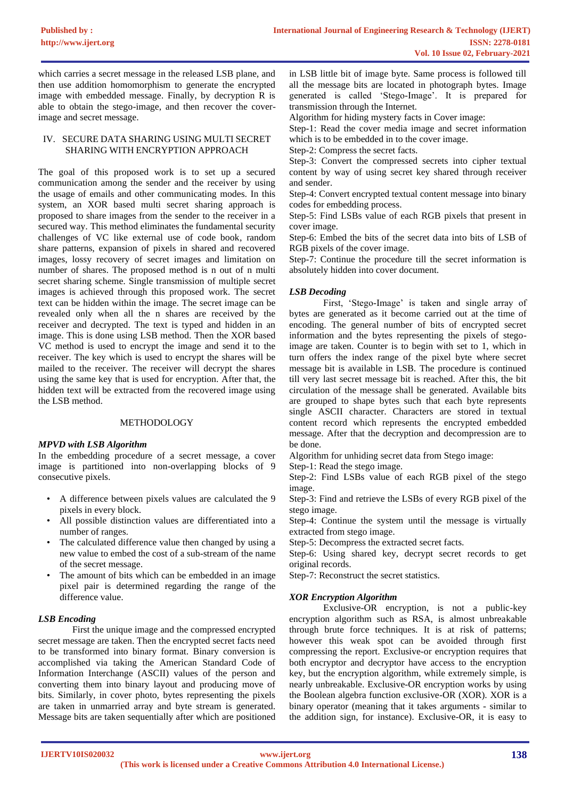which carries a secret message in the released LSB plane, and then use addition homomorphism to generate the encrypted image with embedded message. Finally, by decryption R is able to obtain the stego-image, and then recover the coverimage and secret message.

### IV. SECURE DATA SHARING USING MULTI SECRET SHARING WITH ENCRYPTION APPROACH

The goal of this proposed work is to set up a secured communication among the sender and the receiver by using the usage of emails and other communicating modes. In this system, an XOR based multi secret sharing approach is proposed to share images from the sender to the receiver in a secured way. This method eliminates the fundamental security challenges of VC like external use of code book, random share patterns, expansion of pixels in shared and recovered images, lossy recovery of secret images and limitation on number of shares. The proposed method is n out of n multi secret sharing scheme. Single transmission of multiple secret images is achieved through this proposed work. The secret text can be hidden within the image. The secret image can be revealed only when all the n shares are received by the receiver and decrypted. The text is typed and hidden in an image. This is done using LSB method. Then the XOR based VC method is used to encrypt the image and send it to the receiver. The key which is used to encrypt the shares will be mailed to the receiver. The receiver will decrypt the shares using the same key that is used for encryption. After that, the hidden text will be extracted from the recovered image using the LSB method.

### METHODOLOGY

#### *MPVD with LSB Algorithm*

In the embedding procedure of a secret message, a cover image is partitioned into non-overlapping blocks of 9 consecutive pixels.

- A difference between pixels values are calculated the 9 pixels in every block.
- All possible distinction values are differentiated into a number of ranges.
- The calculated difference value then changed by using a new value to embed the cost of a sub-stream of the name of the secret message.
- The amount of bits which can be embedded in an image pixel pair is determined regarding the range of the difference value.

#### *LSB Encoding*

First the unique image and the compressed encrypted secret message are taken. Then the encrypted secret facts need to be transformed into binary format. Binary conversion is accomplished via taking the American Standard Code of Information Interchange (ASCII) values of the person and converting them into binary layout and producing move of bits. Similarly, in cover photo, bytes representing the pixels are taken in unmarried array and byte stream is generated. Message bits are taken sequentially after which are positioned in LSB little bit of image byte. Same process is followed till all the message bits are located in photograph bytes. Image generated is called 'Stego-Image'. It is prepared for transmission through the Internet.

Algorithm for hiding mystery facts in Cover image:

Step-1: Read the cover media image and secret information which is to be embedded in to the cover image.

Step-2: Compress the secret facts.

Step-3: Convert the compressed secrets into cipher textual content by way of using secret key shared through receiver and sender.

Step-4: Convert encrypted textual content message into binary codes for embedding process.

Step-5: Find LSBs value of each RGB pixels that present in cover image.

Step-6: Embed the bits of the secret data into bits of LSB of RGB pixels of the cover image.

Step-7: Continue the procedure till the secret information is absolutely hidden into cover document.

#### *LSB Decoding*

First, 'Stego-Image' is taken and single array of bytes are generated as it become carried out at the time of encoding. The general number of bits of encrypted secret information and the bytes representing the pixels of stegoimage are taken. Counter is to begin with set to 1, which in turn offers the index range of the pixel byte where secret message bit is available in LSB. The procedure is continued till very last secret message bit is reached. After this, the bit circulation of the message shall be generated. Available bits are grouped to shape bytes such that each byte represents single ASCII character. Characters are stored in textual content record which represents the encrypted embedded message. After that the decryption and decompression are to be done.

Algorithm for unhiding secret data from Stego image:

Step-1: Read the stego image.

Step-2: Find LSBs value of each RGB pixel of the stego image.

Step-3: Find and retrieve the LSBs of every RGB pixel of the stego image.

Step-4: Continue the system until the message is virtually extracted from stego image.

Step-5: Decompress the extracted secret facts.

Step-6: Using shared key, decrypt secret records to get original records.

Step-7: Reconstruct the secret statistics.

#### *XOR Encryption Algorithm*

Exclusive-OR encryption, is not a public-key encryption algorithm such as RSA, is almost unbreakable through brute force techniques. It is at risk of patterns; however this weak spot can be avoided through first compressing the report. Exclusive-or encryption requires that both encryptor and decryptor have access to the encryption key, but the encryption algorithm, while extremely simple, is nearly unbreakable. Exclusive-OR encryption works by using the Boolean algebra function exclusive-OR (XOR). XOR is a binary operator (meaning that it takes arguments - similar to the addition sign, for instance). Exclusive-OR, it is easy to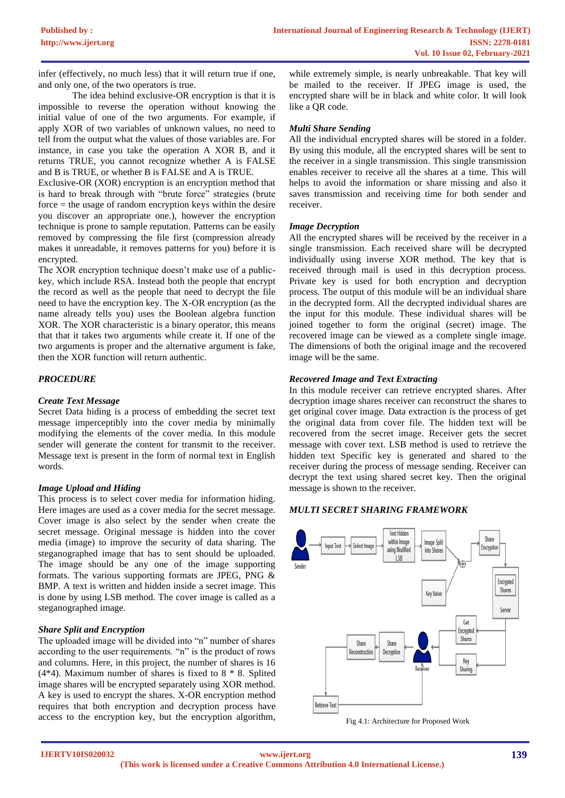infer (effectively, no much less) that it will return true if one, and only one, of the two operators is true.

The idea behind exclusive-OR encryption is that it is impossible to reverse the operation without knowing the initial value of one of the two arguments. For example, if apply XOR of two variables of unknown values, no need to tell from the output what the values of those variables are. For instance, in case you take the operation A XOR B, and it returns TRUE, you cannot recognize whether A is FALSE and B is TRUE, or whether B is FALSE and A is TRUE.

Exclusive-OR (XOR) encryption is an encryption method that is hard to break through with "brute force" strategies (brute force = the usage of random encryption keys within the desire you discover an appropriate one.), however the encryption technique is prone to sample reputation. Patterns can be easily removed by compressing the file first (compression already makes it unreadable, it removes patterns for you) before it is encrypted.

The XOR encryption technique doesn't make use of a publickey, which include RSA. Instead both the people that encrypt the record as well as the people that need to decrypt the file need to have the encryption key. The X-OR encryption (as the name already tells you) uses the Boolean algebra function XOR. The XOR characteristic is a binary operator, this means that that it takes two arguments while create it. If one of the two arguments is proper and the alternative argument is fake, then the XOR function will return authentic.

## *PROCEDURE*

#### *Create Text Message*

Secret Data hiding is a process of embedding the secret text message imperceptibly into the cover media by minimally modifying the elements of the cover media. In this module sender will generate the content for transmit to the receiver. Message text is present in the form of normal text in English words.

#### *Image Upload and Hiding*

This process is to select cover media for information hiding. Here images are used as a cover media for the secret message. Cover image is also select by the sender when create the secret message. Original message is hidden into the cover media (image) to improve the security of data sharing. The steganographed image that has to sent should be uploaded. The image should be any one of the image supporting formats. The various supporting formats are JPEG, PNG & BMP. A text is written and hidden inside a secret image. This is done by using LSB method. The cover image is called as a steganographed image.

#### *Share Split and Encryption*

The uploaded image will be divided into "n" number of shares according to the user requirements. "n" is the product of rows and columns. Here, in this project, the number of shares is 16 (4\*4). Maximum number of shares is fixed to 8 \* 8. Splited image shares will be encrypted separately using XOR method. A key is used to encrypt the shares. X-OR encryption method requires that both encryption and decryption process have access to the encryption key, but the encryption algorithm,

while extremely simple, is nearly unbreakable. That key will be mailed to the receiver. If JPEG image is used, the encrypted share will be in black and white color. It will look like a QR code.

### *Multi Share Sending*

All the individual encrypted shares will be stored in a folder. By using this module, all the encrypted shares will be sent to the receiver in a single transmission. This single transmission enables receiver to receive all the shares at a time. This will helps to avoid the information or share missing and also it saves transmission and receiving time for both sender and receiver.

#### *Image Decryption*

All the encrypted shares will be received by the receiver in a single transmission. Each received share will be decrypted individually using inverse XOR method. The key that is received through mail is used in this decryption process. Private key is used for both encryption and decryption process. The output of this module will be an individual share in the decrypted form. All the decrypted individual shares are the input for this module. These individual shares will be joined together to form the original (secret) image. The recovered image can be viewed as a complete single image. The dimensions of both the original image and the recovered image will be the same.

#### *Recovered Image and Text Extracting*

In this module receiver can retrieve encrypted shares. After decryption image shares receiver can reconstruct the shares to get original cover image. Data extraction is the process of get the original data from cover file. The hidden text will be recovered from the secret image. Receiver gets the secret message with cover text. LSB method is used to retrieve the hidden text Specific key is generated and shared to the receiver during the process of message sending. Receiver can decrypt the text using shared secret key. Then the original message is shown to the receiver.

#### *MULTI SECRET SHARING FRAMEWORK*



Fig 4.1: Architecture for Proposed Work